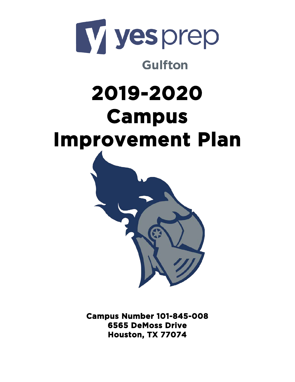

# **Gulfton**

# **2019-2020 Campus Improvement Plan**



**Campus Number 101-845-008 6565 DeMoss Drive Houston, TX 77074**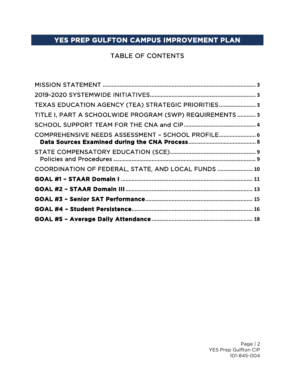# TABLE OF CONTENTS

| TEXAS EDUCATION AGENCY (TEA) STRATEGIC PRIORITIES 3      |  |
|----------------------------------------------------------|--|
| TITLE I, PART A SCHOOLWIDE PROGRAM (SWP) REQUIREMENTS  3 |  |
|                                                          |  |
| COMPREHENSIVE NEEDS ASSESSMENT - SCHOOL PROFILE 6        |  |
|                                                          |  |
| COORDINATION OF FEDERAL, STATE, AND LOCAL FUNDS  10      |  |
|                                                          |  |
|                                                          |  |
|                                                          |  |
|                                                          |  |
|                                                          |  |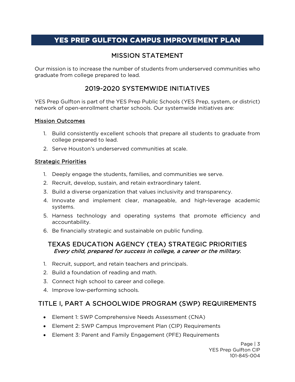# MISSION STATEMENT

<span id="page-2-0"></span>Our mission is to increase the number of students from underserved communities who graduate from college prepared to lead.

# 2019-2020 SYSTEMWIDE INITIATIVES

<span id="page-2-1"></span>YES Prep Gulfton is part of the YES Prep Public Schools (YES Prep, system, or district) network of open-enrollment charter schools. Our systemwide initiatives are:

#### Mission Outcomes

- 1. Build consistently excellent schools that prepare all students to graduate from college prepared to lead.
- 2. Serve Houston's underserved communities at scale.

#### Strategic Priorities

- 1. Deeply engage the students, families, and communities we serve.
- 2. Recruit, develop, sustain, and retain extraordinary talent.
- 3. Build a diverse organization that values inclusivity and transparency.
- 4. Innovate and implement clear, manageable, and high-leverage academic systems.
- 5. Harness technology and operating systems that promote efficiency and accountability.
- 6. Be financially strategic and sustainable on public funding.

#### <span id="page-2-2"></span>TEXAS EDUCATION AGENCY (TEA) STRATEGIC PRIORITIES Every child, prepared for success in college, a career or the military.

- 1. Recruit, support, and retain teachers and principals.
- 2. Build a foundation of reading and math.
- 3. Connect high school to career and college.
- 4. Improve low-performing schools.

# <span id="page-2-3"></span>TITLE I, PART A SCHOOLWIDE PROGRAM (SWP) REQUIREMENTS

- Element 1: SWP Comprehensive Needs Assessment (CNA)
- Element 2: SWP Campus Improvement Plan (CIP) Requirements
- Element 3: Parent and Family Engagement (PFE) Requirements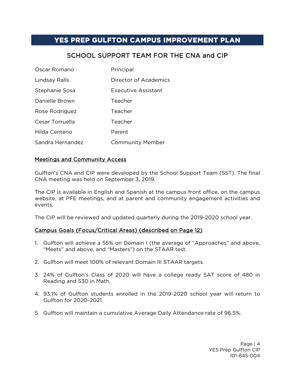# SCHOOL SUPPORT TEAM FOR THE CNA and CIP

<span id="page-3-0"></span>

| Oscar Romano     | Principal                  |
|------------------|----------------------------|
| Lindsay Ralls    | Director of Academics      |
| Stephanie Sosa   | <b>Executive Assistant</b> |
| Danielle Brown   | Teacher                    |
| Rose Rodriguez   | Teacher                    |
| Cesar Torruella  | Teacher                    |
| Hilda Centeno    | Parent                     |
| Sandra Hernandez | <b>Community Member</b>    |

#### Meetings and Community Access

Gulfton's CNA and CIP were developed by the School Support Team (SST). The final CNA meeting was held on September 3, 2019.

The CIP is available in English and Spanish at the campus front office, on the campus website, at PFE meetings, and at parent and community engagement activities and events.

The CIP will be reviewed and updated quarterly during the 2019-2020 school year.

#### Campus Goals (Focus/Critical Areas) (described on Page 12)

- 1. Gulfton will achieve a 55% on Domain I (the average of "Approaches" and above, "Meets" and above, and "Masters") on the STAAR test.
- 2. Gulfton will meet 100% of relevant Domain III STAAR targets.
- 3. 24% of Gulfton's Class of 2020 will have a college ready SAT score of 480 in Reading and 530 in Math.
- 4. 93.1% of Gulfton students enrolled in the 2019-2020 school year will return to Gulfton for 2020-2021.
- 5. Gulfton will maintain a cumulative Average Daily Attendance rate of 96.5%.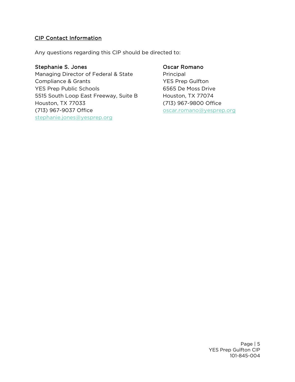#### CIP Contact Information

Any questions regarding this CIP should be directed to:

#### Stephanie S. Jones

Managing Director of Federal & State Compliance & Grants YES Prep Public Schools 5515 South Loop East Freeway, Suite B Houston, TX 77033 (713) 967-9037 Office [stephanie.jones@yesprep.org](mailto:stephanie.jones@yesprep.org)

#### Oscar Romano

Principal YES Prep Gulfton 6565 De Moss Drive Houston, TX 77074 (713) 967-9800 Office oscar.romano@yesprep.org

> Page | 5 YES Prep Gulfton CIP 101-845-004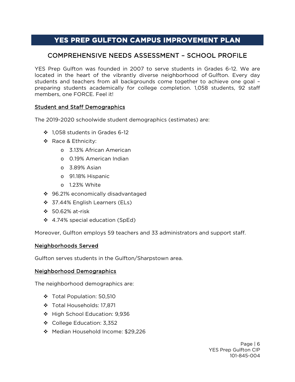### <span id="page-5-0"></span>COMPREHENSIVE NEEDS ASSESSMENT – SCHOOL PROFILE

YES Prep Gulfton was founded in 2007 to serve students in Grades 6-12. We are located in the heart of the vibrantly diverse neighborhood of Gulfton. Every day students and teachers from all backgrounds come together to achieve one goal – preparing students academically for college completion. 1,058 students, 92 staff members, one FORCE. Feel it!

#### Student and Staff Demographics

The 2019-2020 schoolwide student demographics (estimates) are:

- 1,058 students in Grades 6-12
- ❖ Race & Ethnicity:
	- o 3.13% African American
	- o 0.19% American Indian
	- o 3.89% Asian
	- o 91.18% Hispanic
	- o 1.23% White
- ◆ 96.21% economically disadvantaged
- ❖ 37.44% English Learners (ELs)
- 50.62% at-risk
- ❖ 4.74% special education (SpEd)

Moreover, Gulfton employs 59 teachers and 33 administrators and support staff.

#### Neighborhoods Served

Gulfton serves students in the Gulfton/Sharpstown area.

#### Neighborhood Demographics

The neighborhood demographics are:

- Total Population: 50,510
- Total Households: 17,871
- ◆ High School Education: 9,936
- ❖ College Education: 3,352
- Median Household Income: \$29,226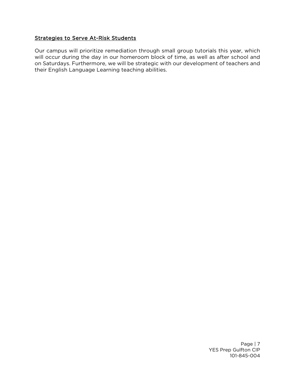#### Strategies to Serve At-Risk Students

Our campus will prioritize remediation through small group tutorials this year, which will occur during the day in our homeroom block of time, as well as after school and on Saturdays. Furthermore, we will be strategic with our development of teachers and their English Language Learning teaching abilities.

> Page | 7 YES Prep Gulfton CIP 101-845-004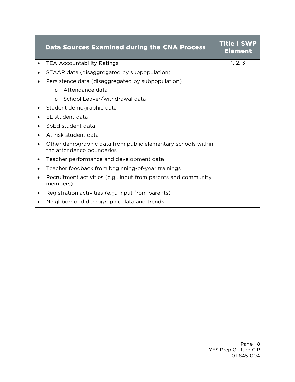<span id="page-7-0"></span>

|           | <b>Data Sources Examined during the CNA Process</b>                                       | <b>Title I SWP</b><br><b>Element</b> |  |  |  |
|-----------|-------------------------------------------------------------------------------------------|--------------------------------------|--|--|--|
|           | <b>TEA Accountability Ratings</b>                                                         | 1, 2, 3                              |  |  |  |
|           | STAAR data (disaggregated by subpopulation)                                               |                                      |  |  |  |
|           | Persistence data (disaggregated by subpopulation)                                         |                                      |  |  |  |
|           | Attendance data<br>$\Omega$                                                               |                                      |  |  |  |
|           | o School Leaver/withdrawal data                                                           |                                      |  |  |  |
|           | Student demographic data                                                                  |                                      |  |  |  |
|           | EL student data                                                                           |                                      |  |  |  |
| ٠         | SpEd student data                                                                         |                                      |  |  |  |
|           | At-risk student data                                                                      |                                      |  |  |  |
|           | Other demographic data from public elementary schools within<br>the attendance boundaries |                                      |  |  |  |
|           | Teacher performance and development data                                                  |                                      |  |  |  |
| $\bullet$ | Teacher feedback from beginning-of-year trainings                                         |                                      |  |  |  |
| $\bullet$ | Recruitment activities (e.g., input from parents and community<br>members)                |                                      |  |  |  |
|           | Registration activities (e.g., input from parents)                                        |                                      |  |  |  |
|           | Neighborhood demographic data and trends                                                  |                                      |  |  |  |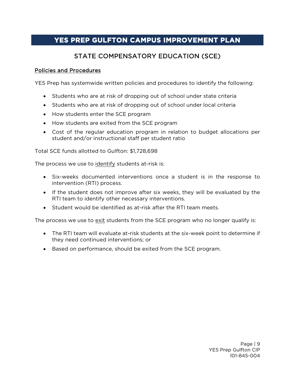# STATE COMPENSATORY EDUCATION (SCE)

#### <span id="page-8-1"></span><span id="page-8-0"></span>Policies and Procedures

YES Prep has systemwide written policies and procedures to identify the following:

- Students who are at risk of dropping out of school under state criteria
- Students who are at risk of dropping out of school under local criteria
- How students enter the SCE program
- How students are exited from the SCE program
- Cost of the regular education program in relation to budget allocations per student and/or instructional staff per student ratio

Total SCE funds allotted to Gulfton: \$1,728,698

The process we use to identify students at-risk is:

- Six-weeks documented interventions once a student is in the response to intervention (RTI) process.
- If the student does not improve after six weeks, they will be evaluated by the RTI team to identify other necessary interventions.
- Student would be identified as at-risk after the RTI team meets.

The process we use to exit students from the SCE program who no longer qualify is:

- The RTI team will evaluate at-risk students at the six-week point to determine if they need continued interventions; or
- Based on performance, should be exited from the SCE program.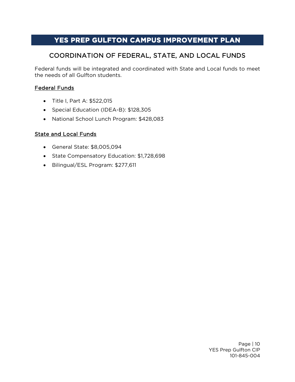# COORDINATION OF FEDERAL, STATE, AND LOCAL FUNDS

<span id="page-9-0"></span>Federal funds will be integrated and coordinated with State and Local funds to meet the needs of all Gulfton students.

#### Federal Funds

- Title I, Part A: \$522,015
- Special Education (IDEA-B): \$128,305
- National School Lunch Program: \$428,083

#### State and Local Funds

- General State: \$8,005,094
- State Compensatory Education: \$1,728,698
- Bilingual/ESL Program: \$277,611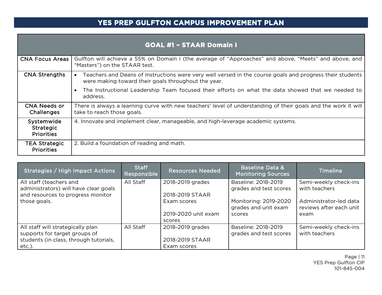|                                              | <b>GOAL #1 - STAAR Domain I</b>                                                                                                                                 |
|----------------------------------------------|-----------------------------------------------------------------------------------------------------------------------------------------------------------------|
| <b>CNA Focus Areas</b>                       | Gulfton will achieve a 55% on Domain I (the average of "Approaches" and above, "Meets" and above, and<br>"Masters") on the STAAR test.                          |
| <b>CNA Strengths</b>                         | Teachers and Deans of Instructions were very well versed in the course goals and progress their students<br>were making toward their goals throughout the year. |
|                                              | The Instructional Leadership Team focused their efforts on what the data showed that we needed to<br>address.                                                   |
| <b>CNA Needs or</b><br><b>Challenges</b>     | There is always a learning curve with new teachers' level of understanding of their goals and the work it will<br>take to reach those goals.                    |
| Systemwide<br>Strategic<br><b>Priorities</b> | 4. Innovate and implement clear, manageable, and high-leverage academic systems.                                                                                |
| <b>TEA Strategic</b><br><b>Priorities</b>    | 2. Build a foundation of reading and math.                                                                                                                      |

<span id="page-10-0"></span>

| Strategies / High Impact Actions                                                                                          | <b>Staff</b><br>Responsible | <b>Resources Needed</b>                            | <b>Baseline Data &amp;</b><br><b>Monitoring Sources</b> | <b>Timeline</b>                                           |
|---------------------------------------------------------------------------------------------------------------------------|-----------------------------|----------------------------------------------------|---------------------------------------------------------|-----------------------------------------------------------|
| All staff (teachers and<br>administrators) will have clear goals<br>and resources to progress monitor                     | All Staff                   | 2018-2019 grades<br>2018-2019 STAAR                | Baseline: 2018-2019<br>grades and test scores           | Semi-weekly check-ins<br>with teachers                    |
| those goals.                                                                                                              |                             | Exam scores<br>2019-2020 unit exam<br>scores       | Monitoring: 2019-2020<br>grades and unit exam<br>scores | Administrator-led data<br>reviews after each unit<br>exam |
| All staff will strategically plan<br>supports for target groups of<br>students (in class, through tutorials,<br>$etc.$ ). | All Staff                   | 2018-2019 grades<br>2018-2019 STAAR<br>Exam scores | Baseline: 2018-2019<br>grades and test scores           | Semi-weekly check-ins<br>with teachers                    |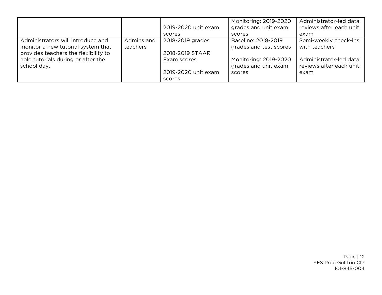|                                                                                                                 |                        | 2019-2020 unit exam<br>scores                | Monitoring: 2019-2020<br>grades and unit exam<br>scores | Administrator-led data<br>reviews after each unit<br>exam |
|-----------------------------------------------------------------------------------------------------------------|------------------------|----------------------------------------------|---------------------------------------------------------|-----------------------------------------------------------|
| Administrators will introduce and<br>monitor a new tutorial system that<br>provides teachers the flexibility to | Admins and<br>teachers | 2018-2019 grades<br>2018-2019 STAAR          | Baseline: 2018-2019<br>grades and test scores           | Semi-weekly check-ins<br>with teachers                    |
| hold tutorials during or after the<br>school day.                                                               |                        | Exam scores<br>2019-2020 unit exam<br>scores | Monitoring: 2019-2020<br>grades and unit exam<br>scores | Administrator-led data<br>reviews after each unit<br>exam |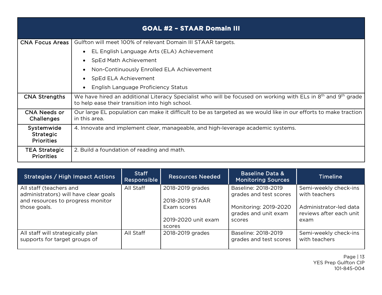|                                                     | <b>GOAL #2 - STAAR Domain III</b>                                                                                                                               |
|-----------------------------------------------------|-----------------------------------------------------------------------------------------------------------------------------------------------------------------|
| <b>CNA Focus Areas</b>                              | Gulfton will meet 100% of relevant Domain III STAAR targets.                                                                                                    |
|                                                     | EL English Language Arts (ELA) Achievement                                                                                                                      |
|                                                     | SpEd Math Achievement                                                                                                                                           |
|                                                     | Non-Continuously Enrolled ELA Achievement                                                                                                                       |
|                                                     | SpEd ELA Achievement                                                                                                                                            |
|                                                     | English Language Proficiency Status                                                                                                                             |
| <b>CNA Strengths</b>                                | We have hired an additional Literacy Specialist who will be focused on working with ELs in 8th and 9th grade<br>to help ease their transition into high school. |
| <b>CNA Needs or</b><br><b>Challenges</b>            | Our large EL population can make it difficult to be as targeted as we would like in our efforts to make traction<br>in this area.                               |
| Systemwide<br><b>Strategic</b><br><b>Priorities</b> | 4. Innovate and implement clear, manageable, and high-leverage academic systems.                                                                                |
| <b>TEA Strategic</b><br><b>Priorities</b>           | 2. Build a foundation of reading and math.                                                                                                                      |

<span id="page-12-0"></span>

| Strategies / High Impact Actions                                                                      | <b>Staff</b><br>Responsible | <b>Resources Needed</b>                      | <b>Baseline Data &amp;</b><br><b>Monitoring Sources</b> | <b>Timeline</b>                                           |
|-------------------------------------------------------------------------------------------------------|-----------------------------|----------------------------------------------|---------------------------------------------------------|-----------------------------------------------------------|
| All staff (teachers and<br>administrators) will have clear goals<br>and resources to progress monitor | All Staff                   | 2018-2019 grades<br>2018-2019 STAAR          | Baseline: 2018-2019<br>grades and test scores           | Semi-weekly check-ins<br>with teachers                    |
| those goals.                                                                                          |                             | Exam scores<br>2019-2020 unit exam<br>scores | Monitoring: 2019-2020<br>grades and unit exam<br>scores | Administrator-led data<br>reviews after each unit<br>exam |
| All staff will strategically plan<br>supports for target groups of                                    | All Staff                   | 2018-2019 grades                             | Baseline: 2018-2019<br>grades and test scores           | Semi-weekly check-ins<br>with teachers                    |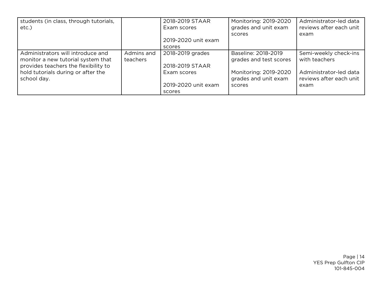| students (in class, through tutorials, |            | 2018-2019 STAAR     | Monitoring: 2019-2020  | Administrator-led data  |
|----------------------------------------|------------|---------------------|------------------------|-------------------------|
| $etc.$ )                               |            | Exam scores         | grades and unit exam   | reviews after each unit |
|                                        |            |                     | scores                 | exam                    |
|                                        |            | 2019-2020 unit exam |                        |                         |
|                                        |            | scores              |                        |                         |
| Administrators will introduce and      | Admins and | 2018-2019 grades    | Baseline: 2018-2019    | Semi-weekly check-ins   |
| monitor a new tutorial system that     | teachers   |                     | grades and test scores | with teachers           |
| provides teachers the flexibility to   |            | 2018-2019 STAAR     |                        |                         |
| hold tutorials during or after the     |            | Exam scores         | Monitoring: 2019-2020  | Administrator-led data  |
| school day.                            |            |                     | grades and unit exam   | reviews after each unit |
|                                        |            | 2019-2020 unit exam | scores                 | exam                    |
|                                        |            | scores              |                        |                         |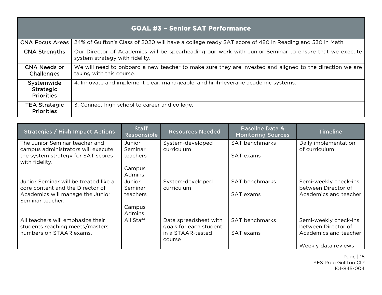|                                                     | <b>GOAL #3 - Senior SAT Performance</b>                                                                                                 |
|-----------------------------------------------------|-----------------------------------------------------------------------------------------------------------------------------------------|
| <b>CNA Focus Areas</b>                              | 24% of Gulfton's Class of 2020 will have a college ready SAT score of 480 in Reading and 530 in Math.                                   |
| <b>CNA Strengths</b>                                | Our Director of Academics will be spearheading our work with Junior Seminar to ensure that we execute<br>system strategy with fidelity. |
| CNA Needs or<br>Challenges                          | We will need to onboard a new teacher to make sure they are invested and aligned to the direction we are<br>taking with this course.    |
| Systemwide<br><b>Strategic</b><br><b>Priorities</b> | 4. Innovate and implement clear, manageable, and high-leverage academic systems.                                                        |
| <b>TEA Strategic</b><br><b>Priorities</b>           | 3. Connect high school to career and college.                                                                                           |

<span id="page-14-0"></span>

| Strategies / High Impact Actions                                                                                                  | <b>Staff</b><br>Responsible                              | <b>Resources Needed</b>                                                        | <b>Baseline Data &amp;</b><br><b>Monitoring Sources</b> | <b>Timeline</b>                                                                              |
|-----------------------------------------------------------------------------------------------------------------------------------|----------------------------------------------------------|--------------------------------------------------------------------------------|---------------------------------------------------------|----------------------------------------------------------------------------------------------|
| The Junior Seminar teacher and<br>campus administrators will execute<br>the system strategy for SAT scores<br>with fidelity.      | Junior<br>Seminar<br>teachers<br>Campus<br><b>Admins</b> | System-developed<br>curriculum                                                 | <b>SAT benchmarks</b><br>SAT exams                      | Daily implementation<br>of curriculum                                                        |
| Junior Seminar will be treated like a<br>core content and the Director of<br>Academics will manage the Junior<br>Seminar teacher. | Junior<br>Seminar<br>teachers<br>Campus<br><b>Admins</b> | System-developed<br>curriculum                                                 | <b>SAT benchmarks</b><br>SAT exams                      | Semi-weekly check-ins<br>between Director of<br>Academics and teacher                        |
| All teachers will emphasize their<br>students reaching meets/masters<br>numbers on STAAR exams.                                   | All Staff                                                | Data spreadsheet with<br>goals for each student<br>in a STAAR-tested<br>course | <b>SAT benchmarks</b><br>SAT exams                      | Semi-weekly check-ins<br>between Director of<br>Academics and teacher<br>Weekly data reviews |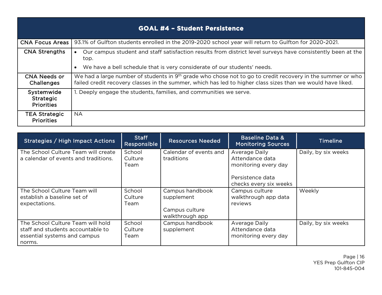|                                                     | <b>GOAL #4 - Student Persistence</b>                                                                                                                                                                                                  |
|-----------------------------------------------------|---------------------------------------------------------------------------------------------------------------------------------------------------------------------------------------------------------------------------------------|
| <b>CNA Focus Areas  </b>                            | 93.1% of Gulfton students enrolled in the 2019-2020 school year will return to Gulfton for 2020-2021.                                                                                                                                 |
| <b>CNA Strengths</b>                                | Our campus student and staff satisfaction results from district level surveys have consistently been at the<br>top.                                                                                                                   |
|                                                     | We have a bell schedule that is very considerate of our students' needs.<br>$\bullet$                                                                                                                                                 |
| <b>CNA Needs or</b><br>Challenges                   | We had a large number of students in 9 <sup>th</sup> grade who chose not to go to credit recovery in the summer or who<br>failed credit recovery classes in the summer, which has led to higher class sizes than we would have liked. |
| Systemwide<br><b>Strategic</b><br><b>Priorities</b> | 1. Deeply engage the students, families, and communities we serve.                                                                                                                                                                    |
| <b>TEA Strategic</b><br><b>Priorities</b>           | <b>NA</b>                                                                                                                                                                                                                             |

<span id="page-15-0"></span>

| Strategies / High Impact Actions                                                                                 | <b>Staff</b><br>Responsible | <b>Resources Needed</b>                                            | <b>Baseline Data &amp;</b><br><b>Monitoring Sources</b>                                                | <b>Timeline</b>     |
|------------------------------------------------------------------------------------------------------------------|-----------------------------|--------------------------------------------------------------------|--------------------------------------------------------------------------------------------------------|---------------------|
| The School Culture Team will create<br>a calendar of events and traditions.                                      | School<br>Culture<br>Team   | Calendar of events and<br>traditions                               | Average Daily<br>Attendance data<br>monitoring every day<br>Persistence data<br>checks every six weeks | Daily, by six weeks |
| The School Culture Team will<br>establish a baseline set of<br>expectations.                                     | School<br>Culture<br>Team   | Campus handbook<br>supplement<br>Campus culture<br>walkthrough app | Campus culture<br>walkthrough app data<br>reviews                                                      | Weekly              |
| The School Culture Team will hold<br>staff and students accountable to<br>essential systems and campus<br>norms. | School<br>Culture<br>Team   | Campus handbook<br>supplement                                      | Average Daily<br>Attendance data<br>monitoring every day                                               | Daily, by six weeks |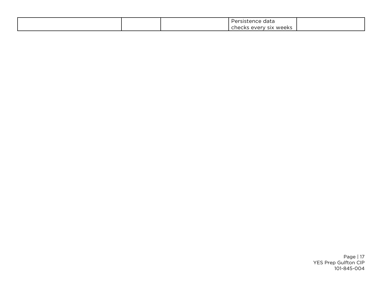|  | .<br>data<br>$\cdot$ $\cdot$<br>rsistence<br>. .                                  |  |
|--|-----------------------------------------------------------------------------------|--|
|  | weeks<br>100 <sup>2</sup><br>CIV<br>ыx<br>- \/ ⊢<br>cura.<br>$\ddot{\phantom{a}}$ |  |

Page | 17 YES Prep Gulfton CIP 101-845-004